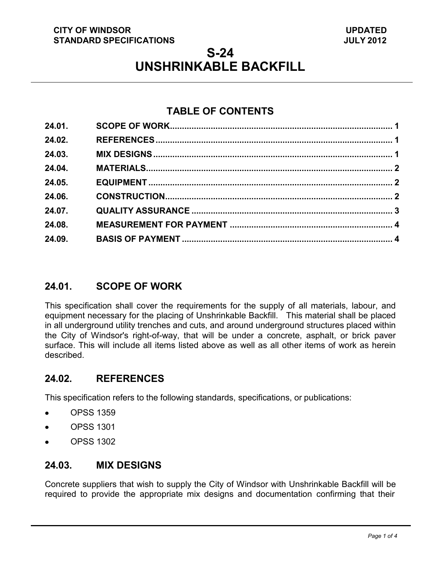#### **CITY OF WINDSOR STANDARD SPECIFICATIONS**

# **S-24 UNSHRINKABLE BACKFILL**

# **TABLE OF CONTENTS**

| 24.01. |  |
|--------|--|
| 24.02. |  |
| 24.03. |  |
| 24.04. |  |
| 24.05. |  |
| 24.06. |  |
| 24.07. |  |
| 24.08. |  |
| 24.09. |  |
|        |  |

# <span id="page-0-2"></span>**24.01. SCOPE OF WORK**

This specification shall cover the requirements for the supply of all materials, labour, and equipment necessary for the placing of Unshrinkable Backfill. This material shall be placed in all underground utility trenches and cuts, and around underground structures placed within the City of Windsor's right-of-way, that will be under a concrete, asphalt, or brick paver surface. This will include all items listed above as well as all other items of work as herein described.

#### <span id="page-0-0"></span>**24.02. REFERENCES**

This specification refers to the following standards, specifications, or publications:

- OPSS 1359
- OPSS 1301  $\bullet$
- OPSS 1302  $\bullet$

#### <span id="page-0-1"></span>**24.03. MIX DESIGNS**

Concrete suppliers that wish to supply the City of Windsor with Unshrinkable Backfill will be required to provide the appropriate mix designs and documentation confirming that their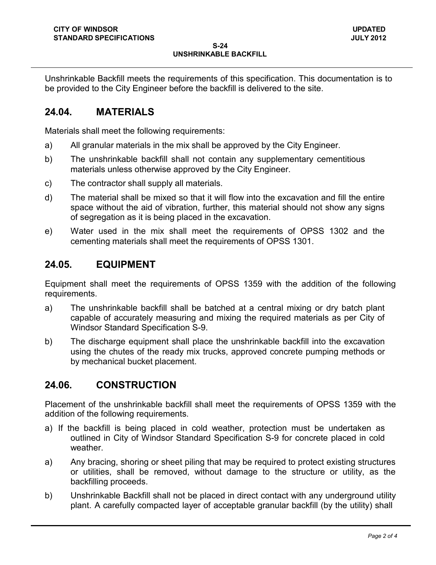Unshrinkable Backfill meets the requirements of this specification. This documentation is to be provided to the City Engineer before the backfill is delivered to the site.

### <span id="page-1-0"></span>**24.04. MATERIALS**

Materials shall meet the following requirements:

- a) All granular materials in the mix shall be approved by the City Engineer.
- b) The unshrinkable backfill shall not contain any supplementary cementitious materials unless otherwise approved by the City Engineer.
- c) The contractor shall supply all materials.
- d) The material shall be mixed so that it will flow into the excavation and fill the entire space without the aid of vibration, further, this material should not show any signs of segregation as it is being placed in the excavation.
- e) Water used in the mix shall meet the requirements of OPSS 1302 and the cementing materials shall meet the requirements of OPSS 1301.

#### <span id="page-1-1"></span>**24.05. EQUIPMENT**

Equipment shall meet the requirements of OPSS 1359 with the addition of the following requirements.

- a) The unshrinkable backfill shall be batched at a central mixing or dry batch plant capable of accurately measuring and mixing the required materials as per City of Windsor Standard Specification S-9.
- b) The discharge equipment shall place the unshrinkable backfill into the excavation using the chutes of the ready mix trucks, approved concrete pumping methods or by mechanical bucket placement.

#### <span id="page-1-2"></span>**24.06. CONSTRUCTION**

Placement of the unshrinkable backfill shall meet the requirements of OPSS 1359 with the addition of the following requirements.

- a) If the backfill is being placed in cold weather, protection must be undertaken as outlined in City of Windsor Standard Specification S-9 for concrete placed in cold weather.
- a) Any bracing, shoring or sheet piling that may be required to protect existing structures or utilities, shall be removed, without damage to the structure or utility, as the backfilling proceeds.
- b) Unshrinkable Backfill shall not be placed in direct contact with any underground utility plant. A carefully compacted layer of acceptable granular backfill (by the utility) shall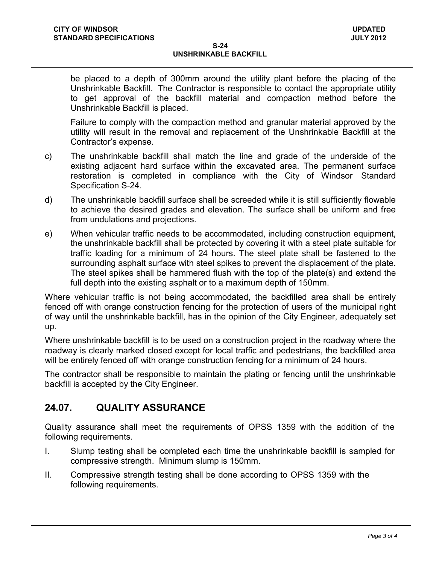#### **S-24 UNSHRINKABLE BACKFILL**

be placed to a depth of 300mm around the utility plant before the placing of the Unshrinkable Backfill. The Contractor is responsible to contact the appropriate utility to get approval of the backfill material and compaction method before the Unshrinkable Backfill is placed.

Failure to comply with the compaction method and granular material approved by the utility will result in the removal and replacement of the Unshrinkable Backfill at the Contractor's expense.

- c) The unshrinkable backfill shall match the line and grade of the underside of the existing adjacent hard surface within the excavated area. The permanent surface restoration is completed in compliance with the City of Windsor Standard Specification S-24.
- d) The unshrinkable backfill surface shall be screeded while it is still sufficiently flowable to achieve the desired grades and elevation. The surface shall be uniform and free from undulations and projections.
- e) When vehicular traffic needs to be accommodated, including construction equipment, the unshrinkable backfill shall be protected by covering it with a steel plate suitable for traffic loading for a minimum of 24 hours. The steel plate shall be fastened to the surrounding asphalt surface with steel spikes to prevent the displacement of the plate. The steel spikes shall be hammered flush with the top of the plate(s) and extend the full depth into the existing asphalt or to a maximum depth of 150mm.

Where vehicular traffic is not being accommodated, the backfilled area shall be entirely fenced off with orange construction fencing for the protection of users of the municipal right of way until the unshrinkable backfill, has in the opinion of the City Engineer, adequately set up.

Where unshrinkable backfill is to be used on a construction project in the roadway where the roadway is clearly marked closed except for local traffic and pedestrians, the backfilled area will be entirely fenced off with orange construction fencing for a minimum of 24 hours.

The contractor shall be responsible to maintain the plating or fencing until the unshrinkable backfill is accepted by the City Engineer.

# <span id="page-2-0"></span>**24.07. QUALITY ASSURANCE**

Quality assurance shall meet the requirements of OPSS 1359 with the addition of the following requirements.

- I. Slump testing shall be completed each time the unshrinkable backfill is sampled for compressive strength. Minimum slump is 150mm.
- II. Compressive strength testing shall be done according to OPSS 1359 with the following requirements.